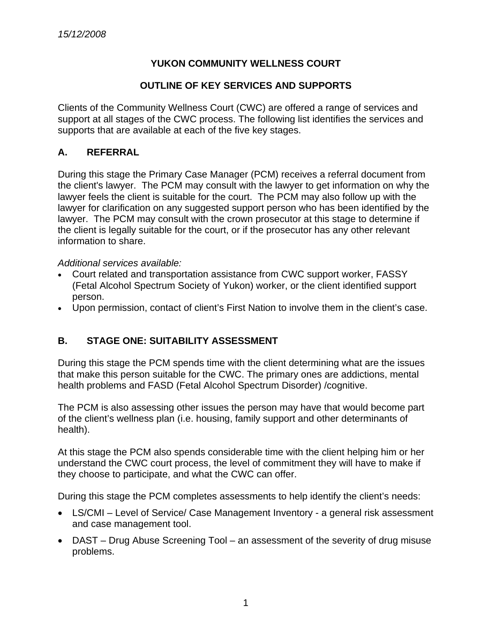## **YUKON COMMUNITY WELLNESS COURT**

### **OUTLINE OF KEY SERVICES AND SUPPORTS**

Clients of the Community Wellness Court (CWC) are offered a range of services and support at all stages of the CWC process. The following list identifies the services and supports that are available at each of the five key stages.

## **A. REFERRAL**

During this stage the Primary Case Manager (PCM) receives a referral document from the client's lawyer. The PCM may consult with the lawyer to get information on why the lawyer feels the client is suitable for the court. The PCM may also follow up with the lawyer for clarification on any suggested support person who has been identified by the lawyer. The PCM may consult with the crown prosecutor at this stage to determine if the client is legally suitable for the court, or if the prosecutor has any other relevant information to share.

#### *Additional services available:*

- Court related and transportation assistance from CWC support worker, FASSY (Fetal Alcohol Spectrum Society of Yukon) worker, or the client identified support person.
- Upon permission, contact of client's First Nation to involve them in the client's case.

# **B. STAGE ONE: SUITABILITY ASSESSMENT**

During this stage the PCM spends time with the client determining what are the issues that make this person suitable for the CWC. The primary ones are addictions, mental health problems and FASD (Fetal Alcohol Spectrum Disorder) /cognitive.

The PCM is also assessing other issues the person may have that would become part of the client's wellness plan (i.e. housing, family support and other determinants of health).

At this stage the PCM also spends considerable time with the client helping him or her understand the CWC court process, the level of commitment they will have to make if they choose to participate, and what the CWC can offer.

During this stage the PCM completes assessments to help identify the client's needs:

- LS/CMI Level of Service/ Case Management Inventory a general risk assessment and case management tool.
- DAST Drug Abuse Screening Tool an assessment of the severity of drug misuse problems.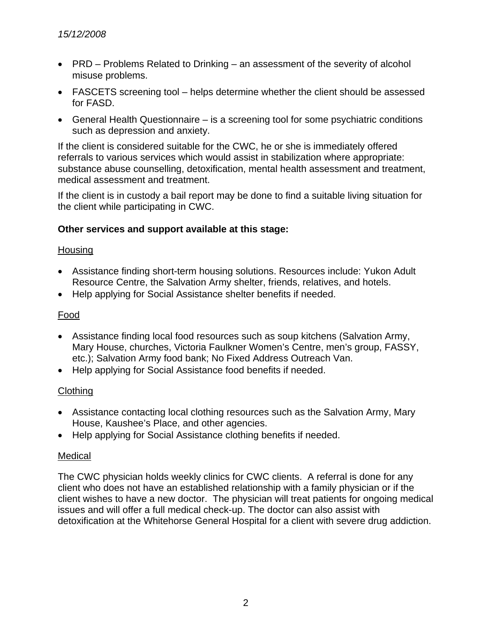- PRD Problems Related to Drinking an assessment of the severity of alcohol misuse problems.
- FASCETS screening tool helps determine whether the client should be assessed for FASD.
- General Health Questionnaire is a screening tool for some psychiatric conditions such as depression and anxiety.

If the client is considered suitable for the CWC, he or she is immediately offered referrals to various services which would assist in stabilization where appropriate: substance abuse counselling, detoxification, mental health assessment and treatment, medical assessment and treatment.

If the client is in custody a bail report may be done to find a suitable living situation for the client while participating in CWC.

## **Other services and support available at this stage:**

## Housing

- Assistance finding short-term housing solutions. Resources include: Yukon Adult Resource Centre, the Salvation Army shelter, friends, relatives, and hotels.
- Help applying for Social Assistance shelter benefits if needed.

## Food

- Assistance finding local food resources such as soup kitchens (Salvation Army, Mary House, churches, Victoria Faulkner Women's Centre, men's group, FASSY, etc.); Salvation Army food bank; No Fixed Address Outreach Van.
- Help applying for Social Assistance food benefits if needed.

# **Clothing**

- Assistance contacting local clothing resources such as the Salvation Army, Mary House, Kaushee's Place, and other agencies.
- Help applying for Social Assistance clothing benefits if needed.

## Medical

The CWC physician holds weekly clinics for CWC clients. A referral is done for any client who does not have an established relationship with a family physician or if the client wishes to have a new doctor. The physician will treat patients for ongoing medical issues and will offer a full medical check-up. The doctor can also assist with detoxification at the Whitehorse General Hospital for a client with severe drug addiction.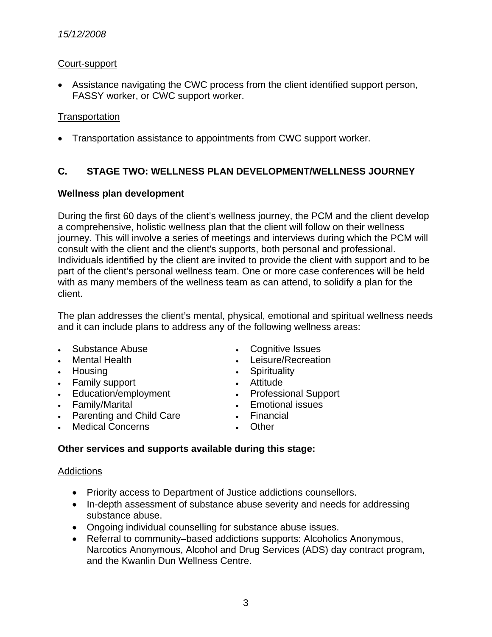### *15/12/2008*

### Court-support

• Assistance navigating the CWC process from the client identified support person, FASSY worker, or CWC support worker.

### **Transportation**

• Transportation assistance to appointments from CWC support worker.

## **C. STAGE TWO: WELLNESS PLAN DEVELOPMENT/WELLNESS JOURNEY**

#### **Wellness plan development**

During the first 60 days of the client's wellness journey, the PCM and the client develop a comprehensive, holistic wellness plan that the client will follow on their wellness journey. This will involve a series of meetings and interviews during which the PCM will consult with the client and the client's supports, both personal and professional. Individuals identified by the client are invited to provide the client with support and to be part of the client's personal wellness team. One or more case conferences will be held with as many members of the wellness team as can attend, to solidify a plan for the client.

The plan addresses the client's mental, physical, emotional and spiritual wellness needs and it can include plans to address any of the following wellness areas:

- Substance Abuse Cognitive Issues
- 
- 
- Family support **•** Attitude
- 
- 
- Parenting and Child Care **•** Financial
- Medical Concerns Other
- 
- **Mental Health Leisure/Recreation**
- Housing **•** Spirituality
	-
- Education/employment Professional Support
- Family/Marital **• Emotional issues** 
	-
	-

## **Other services and supports available during this stage:**

#### **Addictions**

- Priority access to Department of Justice addictions counsellors.
- In-depth assessment of substance abuse severity and needs for addressing substance abuse.
- Ongoing individual counselling for substance abuse issues.
- Referral to community–based addictions supports: Alcoholics Anonymous, Narcotics Anonymous, Alcohol and Drug Services (ADS) day contract program, and the Kwanlin Dun Wellness Centre.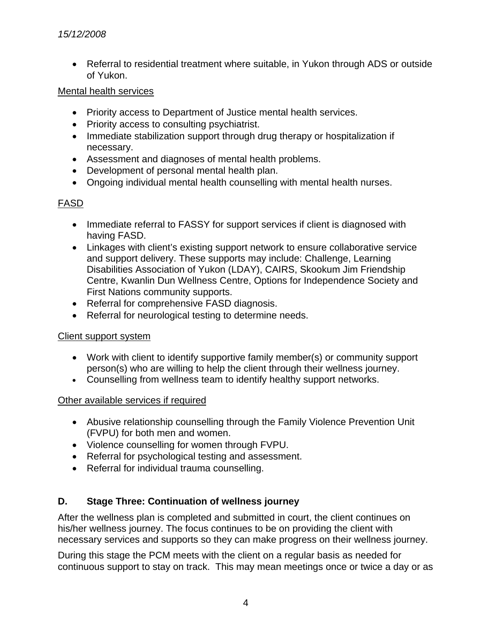• Referral to residential treatment where suitable, in Yukon through ADS or outside of Yukon.

### Mental health services

- Priority access to Department of Justice mental health services.
- Priority access to consulting psychiatrist.
- Immediate stabilization support through drug therapy or hospitalization if necessary.
- Assessment and diagnoses of mental health problems.
- Development of personal mental health plan.
- Ongoing individual mental health counselling with mental health nurses.

# FASD

- Immediate referral to FASSY for support services if client is diagnosed with having FASD.
- Linkages with client's existing support network to ensure collaborative service and support delivery. These supports may include: Challenge, Learning Disabilities Association of Yukon (LDAY), CAIRS, Skookum Jim Friendship Centre, Kwanlin Dun Wellness Centre, Options for Independence Society and First Nations community supports.
- Referral for comprehensive FASD diagnosis.
- Referral for neurological testing to determine needs.

## Client support system

- Work with client to identify supportive family member(s) or community support person(s) who are willing to help the client through their wellness journey.
- Counselling from wellness team to identify healthy support networks.

## Other available services if required

- Abusive relationship counselling through the Family Violence Prevention Unit (FVPU) for both men and women.
- Violence counselling for women through FVPU.
- Referral for psychological testing and assessment.
- Referral for individual trauma counselling.

# **D. Stage Three: Continuation of wellness journey**

After the wellness plan is completed and submitted in court, the client continues on his/her wellness journey. The focus continues to be on providing the client with necessary services and supports so they can make progress on their wellness journey.

During this stage the PCM meets with the client on a regular basis as needed for continuous support to stay on track. This may mean meetings once or twice a day or as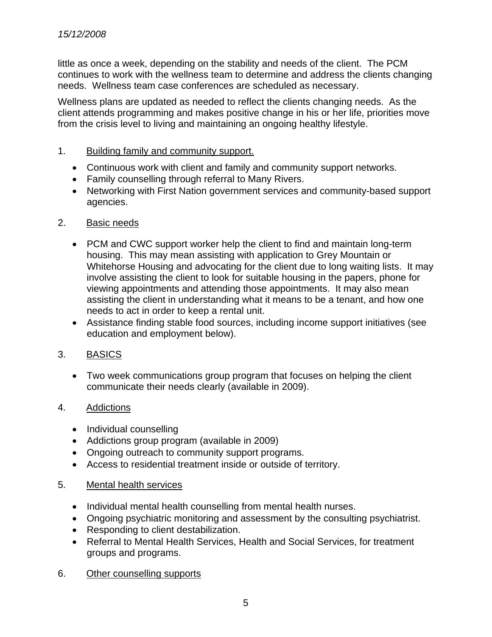little as once a week, depending on the stability and needs of the client. The PCM continues to work with the wellness team to determine and address the clients changing needs. Wellness team case conferences are scheduled as necessary.

Wellness plans are updated as needed to reflect the clients changing needs. As the client attends programming and makes positive change in his or her life, priorities move from the crisis level to living and maintaining an ongoing healthy lifestyle.

### 1. Building family and community support.

- Continuous work with client and family and community support networks.
- Family counselling through referral to Many Rivers.
- Networking with First Nation government services and community-based support agencies.

### 2. Basic needs

- PCM and CWC support worker help the client to find and maintain long-term housing. This may mean assisting with application to Grey Mountain or Whitehorse Housing and advocating for the client due to long waiting lists. It may involve assisting the client to look for suitable housing in the papers, phone for viewing appointments and attending those appointments. It may also mean assisting the client in understanding what it means to be a tenant, and how one needs to act in order to keep a rental unit.
- Assistance finding stable food sources, including income support initiatives (see education and employment below).

## 3. BASICS

• Two week communications group program that focuses on helping the client communicate their needs clearly (available in 2009).

#### 4. Addictions

- Individual counselling
- Addictions group program (available in 2009)
- Ongoing outreach to community support programs.
- Access to residential treatment inside or outside of territory.

#### 5. Mental health services

- Individual mental health counselling from mental health nurses.
- Ongoing psychiatric monitoring and assessment by the consulting psychiatrist.
- Responding to client destabilization.
- Referral to Mental Health Services, Health and Social Services, for treatment groups and programs.
- 6. Other counselling supports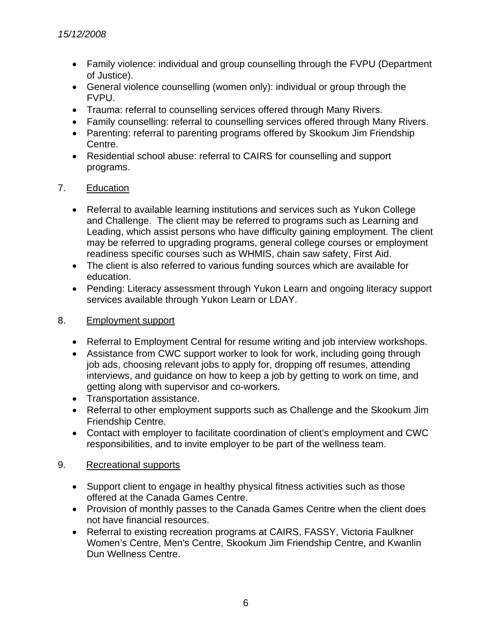- Family violence: individual and group counselling through the FVPU (Department of Justice).
- General violence counselling (women only): individual or group through the FVPU.
- Trauma: referral to counselling services offered through Many Rivers.
- Family counselling: referral to counselling services offered through Many Rivers.
- Parenting: referral to parenting programs offered by Skookum Jim Friendship Centre.
- Residential school abuse: referral to CAIRS for counselling and support programs.

# 7. Education

- Referral to available learning institutions and services such as Yukon College and Challenge. The client may be referred to programs such as Learning and Leading, which assist persons who have difficulty gaining employment. The client may be referred to upgrading programs, general college courses or employment readiness specific courses such as WHMIS, chain saw safety, First Aid.
- The client is also referred to various funding sources which are available for education.
- Pending: Literacy assessment through Yukon Learn and ongoing literacy support services available through Yukon Learn or LDAY.

## 8. Employment support

- Referral to Employment Central for resume writing and job interview workshops.
- Assistance from CWC support worker to look for work, including going through job ads, choosing relevant jobs to apply for, dropping off resumes, attending interviews, and guidance on how to keep a job by getting to work on time, and getting along with supervisor and co-workers.
- Transportation assistance.
- Referral to other employment supports such as Challenge and the Skookum Jim Friendship Centre.
- Contact with employer to facilitate coordination of client's employment and CWC responsibilities, and to invite employer to be part of the wellness team.

## 9. Recreational supports

- Support client to engage in healthy physical fitness activities such as those offered at the Canada Games Centre.
- Provision of monthly passes to the Canada Games Centre when the client does not have financial resources.
- Referral to existing recreation programs at CAIRS, FASSY, Victoria Faulkner Women's Centre, Men's Centre, Skookum Jim Friendship Centre, and Kwanlin Dun Wellness Centre.